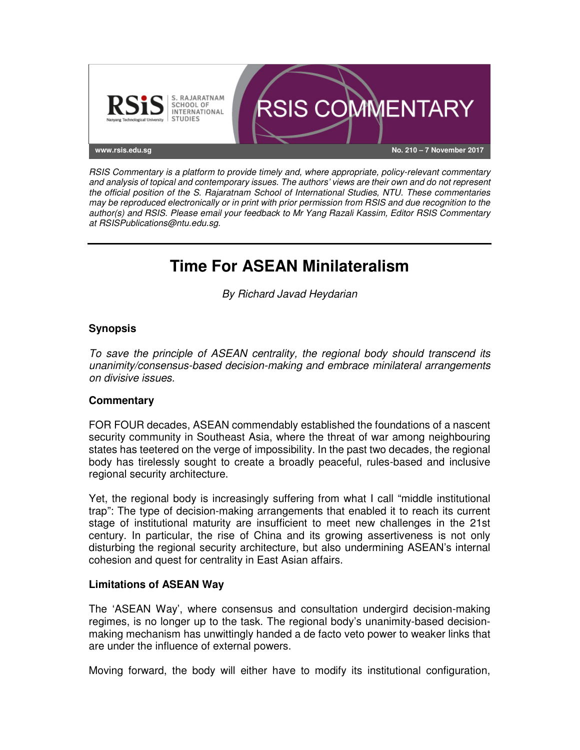

RSIS Commentary is a platform to provide timely and, where appropriate, policy-relevant commentary and analysis of topical and contemporary issues. The authors' views are their own and do not represent the official position of the S. Rajaratnam School of International Studies, NTU. These commentaries may be reproduced electronically or in print with prior permission from RSIS and due recognition to the author(s) and RSIS. Please email your feedback to Mr Yang Razali Kassim, Editor RSIS Commentary at RSISPublications@ntu.edu.sg.

# **Time For ASEAN Minilateralism**

By Richard Javad Heydarian

## **Synopsis**

To save the principle of ASEAN centrality, the regional body should transcend its unanimity/consensus-based decision-making and embrace minilateral arrangements on divisive issues.

## **Commentary**

FOR FOUR decades, ASEAN commendably established the foundations of a nascent security community in Southeast Asia, where the threat of war among neighbouring states has teetered on the verge of impossibility. In the past two decades, the regional body has tirelessly sought to create a broadly peaceful, rules-based and inclusive regional security architecture.

Yet, the regional body is increasingly suffering from what I call "middle institutional trap": The type of decision-making arrangements that enabled it to reach its current stage of institutional maturity are insufficient to meet new challenges in the 21st century. In particular, the rise of China and its growing assertiveness is not only disturbing the regional security architecture, but also undermining ASEAN's internal cohesion and quest for centrality in East Asian affairs.

#### **Limitations of ASEAN Way**

The 'ASEAN Way', where consensus and consultation undergird decision-making regimes, is no longer up to the task. The regional body's unanimity-based decisionmaking mechanism has unwittingly handed a de facto veto power to weaker links that are under the influence of external powers.

Moving forward, the body will either have to modify its institutional configuration,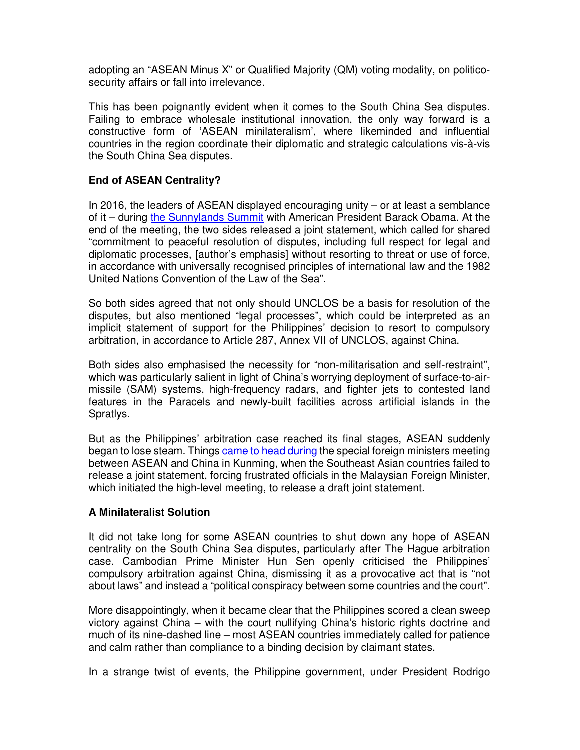adopting an "ASEAN Minus X" or Qualified Majority (QM) voting modality, on politicosecurity affairs or fall into irrelevance.

This has been poignantly evident when it comes to the South China Sea disputes. Failing to embrace wholesale institutional innovation, the only way forward is a constructive form of 'ASEAN minilateralism', where likeminded and influential countries in the region coordinate their diplomatic and strategic calculations vis-à-vis the South China Sea disputes.

# **End of ASEAN Centrality?**

In 2016, the leaders of ASEAN displayed encouraging unity – or at least a semblance of it – during the Sunnylands Summit with American President Barack Obama. At the end of the meeting, the two sides released a joint statement, which called for shared "commitment to peaceful resolution of disputes, including full respect for legal and diplomatic processes, [author's emphasis] without resorting to threat or use of force, in accordance with universally recognised principles of international law and the 1982 United Nations Convention of the Law of the Sea".

So both sides agreed that not only should UNCLOS be a basis for resolution of the disputes, but also mentioned "legal processes", which could be interpreted as an implicit statement of support for the Philippines' decision to resort to compulsory arbitration, in accordance to Article 287, Annex VII of UNCLOS, against China.

Both sides also emphasised the necessity for "non-militarisation and self-restraint", which was particularly salient in light of China's worrying deployment of surface-to-airmissile (SAM) systems, high-frequency radars, and fighter jets to contested land features in the Paracels and newly-built facilities across artificial islands in the Spratlys.

But as the Philippines' arbitration case reached its final stages, ASEAN suddenly began to lose steam. Things came to head during the special foreign ministers meeting between ASEAN and China in Kunming, when the Southeast Asian countries failed to release a joint statement, forcing frustrated officials in the Malaysian Foreign Minister, which initiated the high-level meeting, to release a draft joint statement.

## **A Minilateralist Solution**

It did not take long for some ASEAN countries to shut down any hope of ASEAN centrality on the South China Sea disputes, particularly after The Hague arbitration case. Cambodian Prime Minister Hun Sen openly criticised the Philippines' compulsory arbitration against China, dismissing it as a provocative act that is "not about laws" and instead a "political conspiracy between some countries and the court".

More disappointingly, when it became clear that the Philippines scored a clean sweep victory against China – with the court nullifying China's historic rights doctrine and much of its nine-dashed line – most ASEAN countries immediately called for patience and calm rather than compliance to a binding decision by claimant states.

In a strange twist of events, the Philippine government, under President Rodrigo